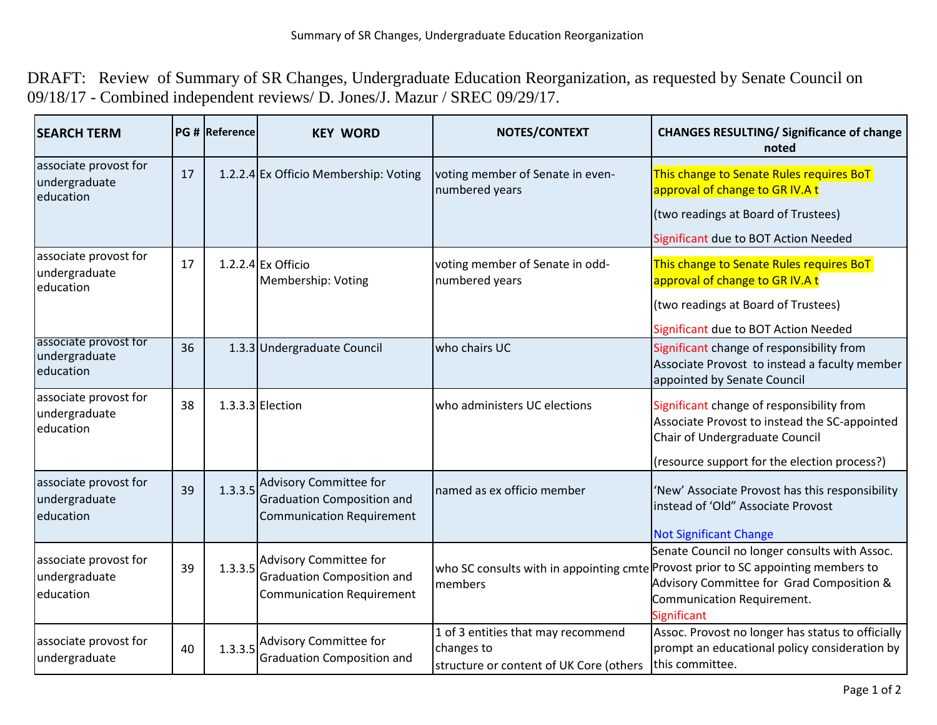DRAFT: Review of Summary of SR Changes, Undergraduate Education Reorganization, as requested by Senate Council on 09/18/17 - Combined independent reviews/ D. Jones/J. Mazur / SREC 09/29/17.

| <b>SEARCH TERM</b>                                  |    | PG # Reference | <b>KEY WORD</b>                                                                                        | NOTES/CONTEXT                                                                               | <b>CHANGES RESULTING/ Significance of change</b><br>noted                                                                                                                                                                           |
|-----------------------------------------------------|----|----------------|--------------------------------------------------------------------------------------------------------|---------------------------------------------------------------------------------------------|-------------------------------------------------------------------------------------------------------------------------------------------------------------------------------------------------------------------------------------|
| associate provost for<br>undergraduate<br>education | 17 |                | 1.2.2.4 Ex Officio Membership: Voting                                                                  | voting member of Senate in even-<br>numbered years                                          | This change to Senate Rules requires BoT<br>approval of change to GR IV.A t                                                                                                                                                         |
|                                                     |    |                |                                                                                                        |                                                                                             | (two readings at Board of Trustees)                                                                                                                                                                                                 |
|                                                     |    |                |                                                                                                        |                                                                                             | Significant due to BOT Action Needed                                                                                                                                                                                                |
| associate provost for<br>undergraduate<br>education | 17 |                | 1.2.2.4 Ex Officio<br>Membership: Voting                                                               | voting member of Senate in odd-<br>numbered years                                           | This change to Senate Rules requires BoT<br>approval of change to GR IV.A t                                                                                                                                                         |
|                                                     |    |                |                                                                                                        |                                                                                             | (two readings at Board of Trustees)                                                                                                                                                                                                 |
|                                                     |    |                |                                                                                                        |                                                                                             | Significant due to BOT Action Needed                                                                                                                                                                                                |
| associate provost for<br>undergraduate<br>education | 36 |                | 1.3.3 Undergraduate Council                                                                            | who chairs UC                                                                               | Significant change of responsibility from<br>Associate Provost to instead a faculty member<br>appointed by Senate Council                                                                                                           |
| associate provost for<br>undergraduate<br>education | 38 |                | 1.3.3.3 Election                                                                                       | who administers UC elections                                                                | Significant change of responsibility from<br>Associate Provost to instead the SC-appointed<br>Chair of Undergraduate Council                                                                                                        |
|                                                     |    |                |                                                                                                        |                                                                                             | (resource support for the election process?)                                                                                                                                                                                        |
| associate provost for<br>undergraduate<br>education | 39 | 1.3.3.5        | Advisory Committee for<br><b>Graduation Composition and</b><br><b>Communication Requirement</b>        | named as ex officio member                                                                  | 'New' Associate Provost has this responsibility<br>instead of 'Old" Associate Provost                                                                                                                                               |
|                                                     |    |                |                                                                                                        |                                                                                             | <b>Not Significant Change</b>                                                                                                                                                                                                       |
| associate provost for<br>undergraduate<br>education | 39 | 1.3.3.5        | <b>Advisory Committee for</b><br><b>Graduation Composition and</b><br><b>Communication Requirement</b> | members                                                                                     | Senate Council no longer consults with Assoc.<br>who SC consults with in appointing cmte Provost prior to SC appointing members to<br>Advisory Committee for Grad Composition &<br>Communication Requirement.<br><b>Significant</b> |
| associate provost for<br>undergraduate              | 40 | 1.3.3.5        | <b>Advisory Committee for</b><br><b>Graduation Composition and</b>                                     | 1 of 3 entities that may recommend<br>changes to<br>structure or content of UK Core (others | Assoc. Provost no longer has status to officially<br>prompt an educational policy consideration by<br>this committee.                                                                                                               |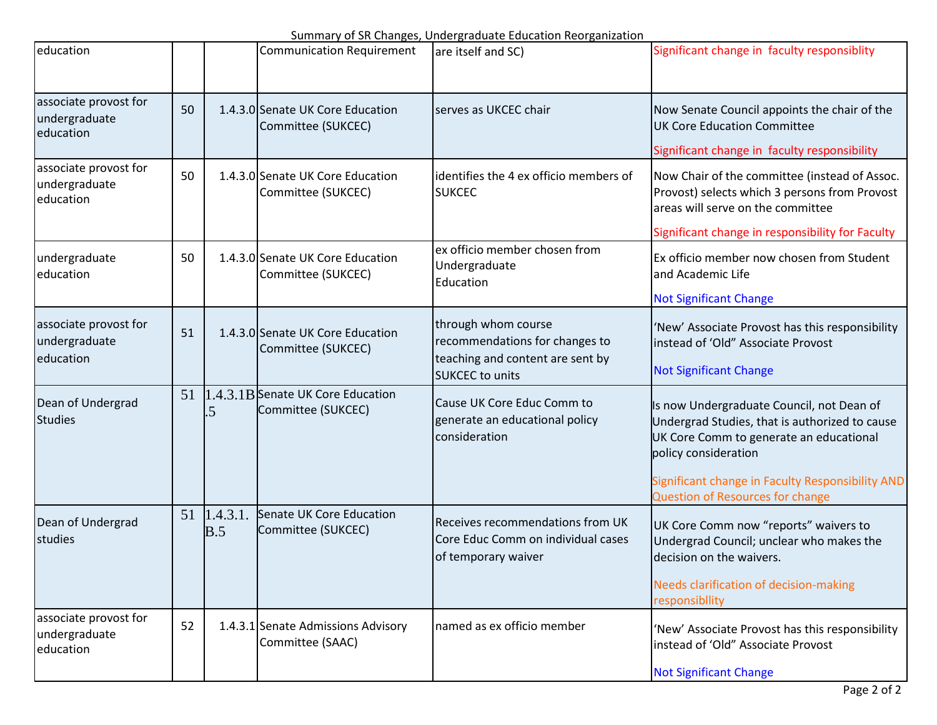Summary of SR Changes, Undergraduate Education Reorganization

|                                                     |    |                 |                                                         | <u>Summary or Six Changes, Ondergraduate Education Reorganization</u>                                |                                                                                                                                                                |
|-----------------------------------------------------|----|-----------------|---------------------------------------------------------|------------------------------------------------------------------------------------------------------|----------------------------------------------------------------------------------------------------------------------------------------------------------------|
| education                                           |    |                 | <b>Communication Requirement</b>                        | are itself and SC)                                                                                   | Significant change in faculty responsiblity                                                                                                                    |
| associate provost for<br>undergraduate<br>education | 50 |                 | 1.4.3.0 Senate UK Core Education<br>Committee (SUKCEC)  | serves as UKCEC chair                                                                                | Now Senate Council appoints the chair of the<br><b>UK Core Education Committee</b>                                                                             |
|                                                     |    |                 |                                                         |                                                                                                      | Significant change in faculty responsibility                                                                                                                   |
| associate provost for<br>undergraduate<br>education | 50 |                 | 1.4.3.0 Senate UK Core Education<br>Committee (SUKCEC)  | identifies the 4 ex officio members of<br><b>SUKCEC</b>                                              | Now Chair of the committee (instead of Assoc.<br>Provost) selects which 3 persons from Provost<br>areas will serve on the committee                            |
|                                                     |    |                 |                                                         |                                                                                                      | Significant change in responsibility for Faculty                                                                                                               |
| undergraduate<br>education                          | 50 |                 | 1.4.3.0 Senate UK Core Education<br>Committee (SUKCEC)  | ex officio member chosen from<br>Undergraduate<br>Education                                          | Ex officio member now chosen from Student<br>and Academic Life                                                                                                 |
|                                                     |    |                 |                                                         |                                                                                                      | <b>Not Significant Change</b>                                                                                                                                  |
| associate provost for<br>undergraduate<br>education | 51 |                 | 1.4.3.0 Senate UK Core Education<br>Committee (SUKCEC)  | through whom course<br>recommendations for changes to<br>teaching and content are sent by            | 'New' Associate Provost has this responsibility<br>instead of 'Old" Associate Provost                                                                          |
|                                                     |    |                 |                                                         | <b>SUKCEC</b> to units                                                                               | <b>Not Significant Change</b>                                                                                                                                  |
| Dean of Undergrad<br><b>Studies</b>                 | 51 | 5               | 1.4.3.1B Senate UK Core Education<br>Committee (SUKCEC) | Cause UK Core Educ Comm to<br>generate an educational policy<br>consideration                        | Is now Undergraduate Council, not Dean of<br>Undergrad Studies, that is authorized to cause<br>UK Core Comm to generate an educational<br>policy consideration |
|                                                     |    |                 |                                                         |                                                                                                      | Significant change in Faculty Responsibility AND<br><b>Question of Resources for change</b>                                                                    |
| Dean of Undergrad<br>studies                        | 51 | 1.4.3.1.<br>B.5 | Senate UK Core Education<br>Committee (SUKCEC)          | <b>Receives recommendations from UK</b><br>Core Educ Comm on individual cases<br>of temporary waiver | UK Core Comm now "reports" waivers to<br>Undergrad Council; unclear who makes the<br>decision on the waivers.                                                  |
|                                                     |    |                 |                                                         |                                                                                                      | Needs clarification of decision-making<br>responsibility                                                                                                       |
| associate provost for<br>undergraduate<br>education | 52 |                 | 1.4.3.1 Senate Admissions Advisory<br>Committee (SAAC)  | named as ex officio member                                                                           | 'New' Associate Provost has this responsibility<br>instead of 'Old" Associate Provost                                                                          |
|                                                     |    |                 |                                                         |                                                                                                      | <b>Not Significant Change</b>                                                                                                                                  |